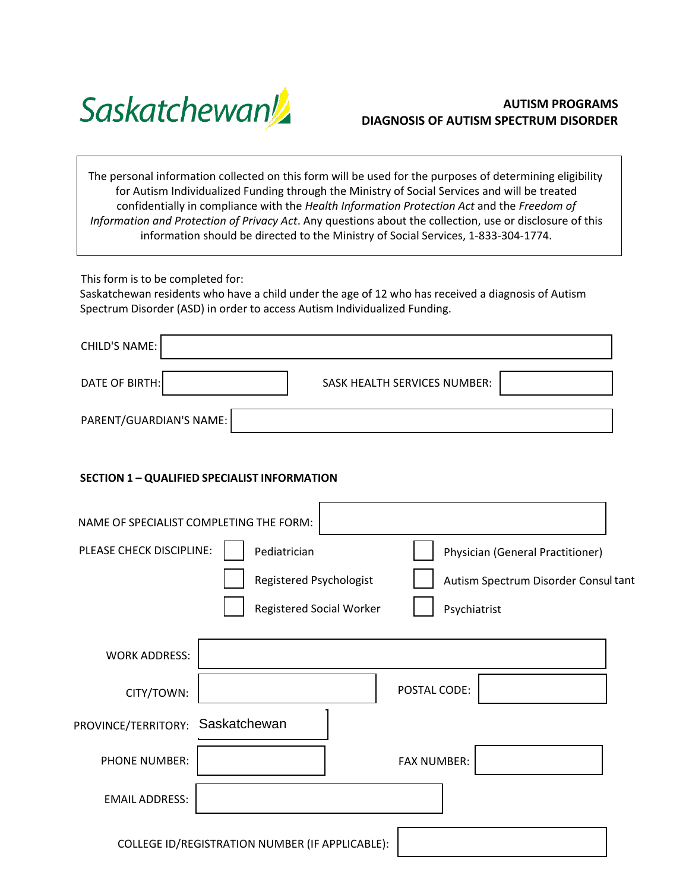

# **AUTISM PROGRAMS DIAGNOSIS OF AUTISM SPECTRUM DISORDER**

The personal information collected on this form will be used for the purposes of determining eligibility for Autism Individualized Funding through the Ministry of Social Services and will be treated confidentially in compliance with the *Health Information Protection Act* and the *Freedom of Information and Protection of Privacy Act*. Any questions about the collection, use or disclosure of this information should be directed to the Ministry of Social Services, 1‐833‐304‐1774.

This form is to be completed for:

Saskatchewan residents who have a child under the age of 12 who has received a diagnosis of Autism Spectrum Disorder (ASD) in order to access Autism Individualized Funding.

| CHILD'S NAME:           |                                     |
|-------------------------|-------------------------------------|
| DATE OF BIRTH:          | <b>SASK HEALTH SERVICES NUMBER:</b> |
| PARENT/GUARDIAN'S NAME: |                                     |

## **SECTION 1 – QUALIFIED SPECIALIST INFORMATION**

|                                          | NAME OF SPECIALIST COMPLETING THE FORM:         |                          |                                      |
|------------------------------------------|-------------------------------------------------|--------------------------|--------------------------------------|
| PLEASE CHECK DISCIPLINE:<br>Pediatrician |                                                 |                          | Physician (General Practitioner)     |
|                                          | Registered Psychologist                         |                          | Autism Spectrum Disorder Consul tant |
|                                          |                                                 | Registered Social Worker | Psychiatrist                         |
|                                          |                                                 |                          |                                      |
| <b>WORK ADDRESS:</b>                     |                                                 |                          |                                      |
| CITY/TOWN:                               |                                                 |                          | POSTAL CODE:                         |
| PROVINCE/TERRITORY: Saskatchewan         |                                                 |                          |                                      |
| <b>PHONE NUMBER:</b>                     |                                                 |                          | <b>FAX NUMBER:</b>                   |
| <b>EMAIL ADDRESS:</b>                    |                                                 |                          |                                      |
|                                          | COLLEGE ID/REGISTRATION NUMBER (IF APPLICABLE): |                          |                                      |